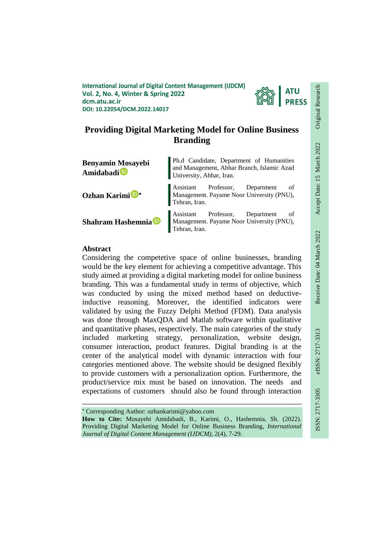**International Journal of Digital Content Management (IJDCM) Vol. 2, No. 4, Winter & Spring 2022 dcm.atu.ac.ir DOI: 10.22054/DCM.2022.14017**



# **Providing Digital Marketing Model for Online Business Branding**

| <b>Benyamin Mosayebi</b><br>Amidabadi <sup>iD</sup> | Ph.d Candidate, Department of Humanities<br>and Management, Abhar Branch, Islamic Azad<br>University, Abhar, Iran. |  |  |
|-----------------------------------------------------|--------------------------------------------------------------------------------------------------------------------|--|--|
| Ozhan Karimi <sup>D*</sup>                          | Assistant Professor, Department of<br>Management. Payame Noor University (PNU),<br>Tehran, Iran.                   |  |  |
| Shahram Hashemnia D                                 | Assistant Professor, Department of<br>Management. Payame Noor University (PNU),<br>Tehran, Iran.                   |  |  |

## **Abstract**

Considering the competetive space of online businesses, branding would be the key element for achieving a competitive advantage. This study aimed at providing a digital marketing model for online business branding. This was a fundamental study in terms of objective, which was conducted by using the mixed method based on deductiveinductive reasoning. Moreover, the identified indicators were validated by using the Fuzzy Delphi Method (FDM). Data analysis was done through MaxQDA and Matlab software within qualitative and quantitative phases, respectively. The main categories of the study included marketing strategy, personalization, website design, consumer interaction, product features. Digital branding is at the center of the analytical model with dynamic interaction with four categories mentioned above. The website should be designed flexibly to provide customers with a personalization option. Furthermore, the product/service mix must be based on innovation. The needs and expectations of customers should also be found through interaction

Corresponding Author: ozhankarimi@yahoo.com

**How to Cite:** Mosayebi Amidabadi, B., Karimi, O., Hashemnia, Sh. (2022). Providing Digital Marketing Model for Online Business Branding, *International Journal of Digital Content Management (IJDCM)*, 2(4), 7-29.

ـــــــــــــــــــــــــــــــــــــــــــــــــــــــــــــــــــــــــــــــــــــــــــــــــــــــــــــــــــــــــــــ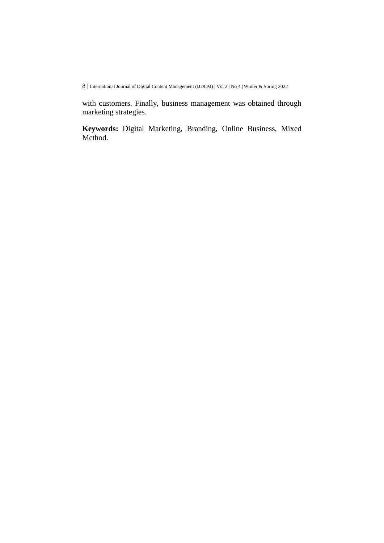with customers. Finally, business management was obtained through marketing strategies.

**Keywords:** Digital Marketing, Branding, Online Business, Mixed Method.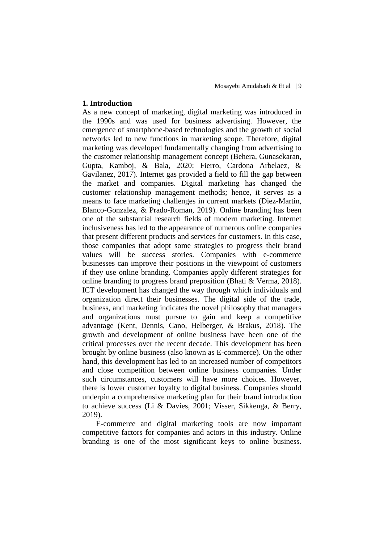### **1. Introduction**

As a new concept of marketing, digital marketing was introduced in the 1990s and was used for business advertising. However, the emergence of smartphone-based technologies and the growth of social networks led to new functions in marketing scope. Therefore, digital marketing was developed fundamentally changing from advertising to the customer relationship management concept (Behera, Gunasekaran, Gupta, Kamboj, & Bala, 2020; Fierro, Cardona Arbelaez, & Gavilanez, 2017). Internet gas provided a field to fill the gap between the market and companies. Digital marketing has changed the customer relationship management methods; hence, it serves as a means to face marketing challenges in current markets (Diez-Martin, Blanco-Gonzalez, & Prado-Roman, 2019). Online branding has been one of the substantial research fields of modern marketing. Internet inclusiveness has led to the appearance of numerous online companies that present different products and services for customers. In this case, those companies that adopt some strategies to progress their brand values will be success stories. Companies with e-commerce businesses can improve their positions in the viewpoint of customers if they use online branding. Companies apply different strategies for online branding to progress brand preposition (Bhati & Verma, 2018). ICT development has changed the way through which individuals and organization direct their businesses. The digital side of the trade, business, and marketing indicates the novel philosophy that managers and organizations must pursue to gain and keep a competitive advantage (Kent, Dennis, Cano, Helberger, & Brakus, 2018). The growth and development of online business have been one of the critical processes over the recent decade. This development has been brought by online business (also known as E-commerce). On the other hand, this development has led to an increased number of competitors and close competition between online business companies. Under such circumstances, customers will have more choices. However, there is lower customer loyalty to digital business. Companies should underpin a comprehensive marketing plan for their brand introduction to achieve success (Li & Davies, 2001; Visser, Sikkenga, & Berry, 2019).

E-commerce and digital marketing tools are now important competitive factors for companies and actors in this industry. Online branding is one of the most significant keys to online business.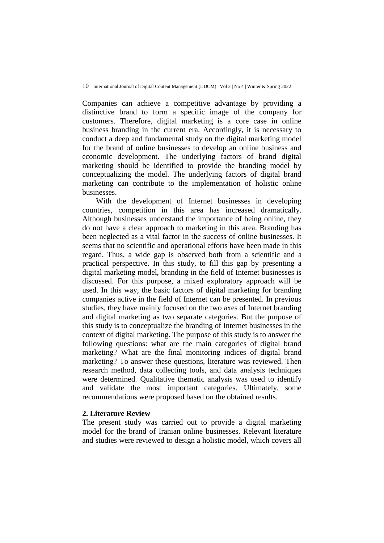Companies can achieve a competitive advantage by providing a distinctive brand to form a specific image of the company for customers. Therefore, digital marketing is a core case in online business branding in the current era. Accordingly, it is necessary to conduct a deep and fundamental study on the digital marketing model for the brand of online businesses to develop an online business and economic development. The underlying factors of brand digital marketing should be identified to provide the branding model by conceptualizing the model. The underlying factors of digital brand marketing can contribute to the implementation of holistic online businesses.

With the development of Internet businesses in developing countries, competition in this area has increased dramatically. Although businesses understand the importance of being online, they do not have a clear approach to marketing in this area. Branding has been neglected as a vital factor in the success of online businesses. It seems that no scientific and operational efforts have been made in this regard. Thus, a wide gap is observed both from a scientific and a practical perspective. In this study, to fill this gap by presenting a digital marketing model, branding in the field of Internet businesses is discussed. For this purpose, a mixed exploratory approach will be used. In this way, the basic factors of digital marketing for branding companies active in the field of Internet can be presented. In previous studies, they have mainly focused on the two axes of Internet branding and digital marketing as two separate categories. But the purpose of this study is to conceptualize the branding of Internet businesses in the context of digital marketing. The purpose of this study is to answer the following questions: what are the main categories of digital brand marketing? What are the final monitoring indices of digital brand marketing? To answer these questions, literature was reviewed. Then research method, data collecting tools, and data analysis techniques were determined. Qualitative thematic analysis was used to identify and validate the most important categories. Ultimately, some recommendations were proposed based on the obtained results.

## **2. Literature Review**

The present study was carried out to provide a digital marketing model for the brand of Iranian online businesses. Relevant literature and studies were reviewed to design a holistic model, which covers all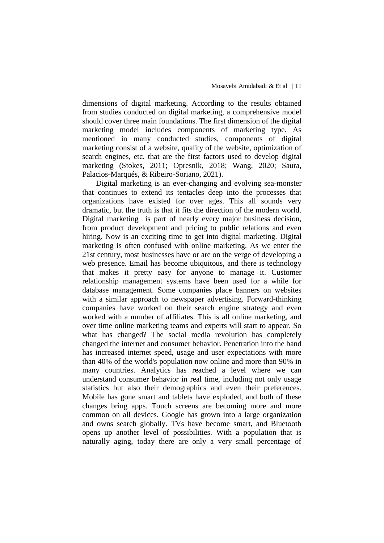dimensions of digital marketing. According to the results obtained from studies conducted on digital marketing, a comprehensive model should cover three main foundations. The first dimension of the digital marketing model includes components of marketing type. As mentioned in many conducted studies, components of digital marketing consist of a website, quality of the website, optimization of search engines, etc. that are the first factors used to develop digital marketing (Stokes, 2011; Opresnik, 2018; Wang, 2020; Saura, Palacios-Marqués, & Ribeiro-Soriano, 2021).

Digital marketing is an ever-changing and evolving sea-monster that continues to extend its tentacles deep into the processes that organizations have existed for over ages. This all sounds very dramatic, but the truth is that it fits the direction of the modern world. Digital marketing is part of nearly every major business decision, from product development and pricing to public relations and even hiring. Now is an exciting time to get into digital marketing. Digital marketing is often confused with online marketing. As we enter the 21st century, most businesses have or are on the verge of developing a web presence. Email has become ubiquitous, and there is technology that makes it pretty easy for anyone to manage it. Customer relationship management systems have been used for a while for database management. Some companies place banners on websites with a similar approach to newspaper advertising. Forward-thinking companies have worked on their search engine strategy and even worked with a number of affiliates. This is all online marketing, and over time online marketing teams and experts will start to appear. So what has changed? The social media revolution has completely changed the internet and consumer behavior. Penetration into the band has increased internet speed, usage and user expectations with more than 40% of the world's population now online and more than 90% in many countries. Analytics has reached a level where we can understand consumer behavior in real time, including not only usage statistics but also their demographics and even their preferences. Mobile has gone smart and tablets have exploded, and both of these changes bring apps. Touch screens are becoming more and more common on all devices. Google has grown into a large organization and owns search globally. TVs have become smart, and Bluetooth opens up another level of possibilities. With a population that is naturally aging, today there are only a very small percentage of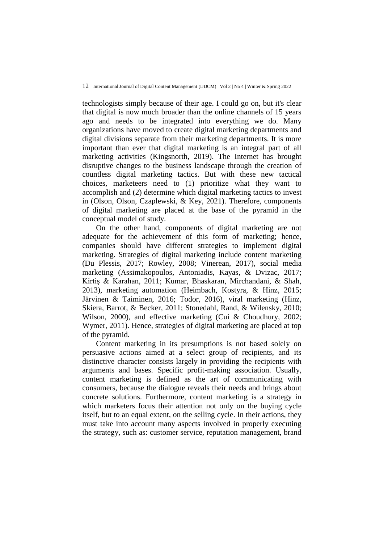technologists simply because of their age. I could go on, but it's clear that digital is now much broader than the online channels of 15 years ago and needs to be integrated into everything we do. Many organizations have moved to create digital marketing departments and digital divisions separate from their marketing departments. It is more important than ever that digital marketing is an integral part of all marketing activities (Kingsnorth, 2019). The Internet has brought disruptive changes to the business landscape through the creation of countless digital marketing tactics. But with these new tactical choices, marketeers need to (1) prioritize what they want to accomplish and (2) determine which digital marketing tactics to invest in (Olson, Olson, Czaplewski, & Key, 2021). Therefore, components of digital marketing are placed at the base of the pyramid in the conceptual model of study.

On the other hand, components of digital marketing are not adequate for the achievement of this form of marketing; hence, companies should have different strategies to implement digital marketing. Strategies of digital marketing include content marketing (Du Plessis, 2017; Rowley, 2008; Vinerean, 2017), social media marketing (Assimakopoulos, Antoniadis, Kayas, & Dvizac, 2017; Kirtiş & Karahan, 2011; Kumar, Bhaskaran, Mirchandani, & Shah, 2013), marketing automation (Heimbach, Kostyra, & Hinz, 2015; Järvinen & Taiminen, 2016; Todor, 2016), viral marketing (Hinz, Skiera, Barrot, & Becker, 2011; Stonedahl, Rand, & Wilensky, 2010; Wilson, 2000), and effective marketing (Cui & Choudhury, 2002; Wymer, 2011). Hence, strategies of digital marketing are placed at top of the pyramid.

Content marketing in its presumptions is not based solely on persuasive actions aimed at a select group of recipients, and its distinctive character consists largely in providing the recipients with arguments and bases. Specific profit-making association. Usually, content marketing is defined as the art of communicating with consumers, because the dialogue reveals their needs and brings about concrete solutions. Furthermore, content marketing is a strategy in which marketers focus their attention not only on the buying cycle itself, but to an equal extent, on the selling cycle. In their actions, they must take into account many aspects involved in properly executing the strategy, such as: customer service, reputation management, brand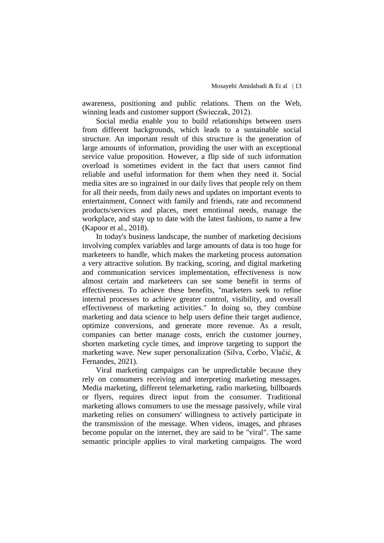awareness, positioning and public relations. Them on the Web, winning leads and customer support (Świeczak, 2012).

Social media enable you to build relationships between users from different backgrounds, which leads to a sustainable social structure. An important result of this structure is the generation of large amounts of information, providing the user with an exceptional service value proposition. However, a flip side of such information overload is sometimes evident in the fact that users cannot find reliable and useful information for them when they need it. Social media sites are so ingrained in our daily lives that people rely on them for all their needs, from daily news and updates on important events to entertainment, Connect with family and friends, rate and recommend products/services and places, meet emotional needs, manage the workplace, and stay up to date with the latest fashions, to name a few (Kapoor et al., 2018).

In today's business landscape, the number of marketing decisions involving complex variables and large amounts of data is too huge for marketeers to handle, which makes the marketing process automation a very attractive solution. By tracking, scoring, and digital marketing and communication services implementation, effectiveness is now almost certain and marketeers can see some benefit in terms of effectiveness. To achieve these benefits, "marketers seek to refine internal processes to achieve greater control, visibility, and overall effectiveness of marketing activities." In doing so, they combine marketing and data science to help users define their target audience, optimize conversions, and generate more revenue. As a result, companies can better manage costs, enrich the customer journey, shorten marketing cycle times, and improve targeting to support the marketing wave. New super personalization (Silva, Corbo, Vlačić, & Fernandes, 2021).

Viral marketing campaigns can be unpredictable because they rely on consumers receiving and interpreting marketing messages. Media marketing, different telemarketing, radio marketing, billboards or flyers, requires direct input from the consumer. Traditional marketing allows consumers to use the message passively, while viral marketing relies on consumers' willingness to actively participate in the transmission of the message. When videos, images, and phrases become popular on the internet, they are said to be "viral". The same semantic principle applies to viral marketing campaigns. The word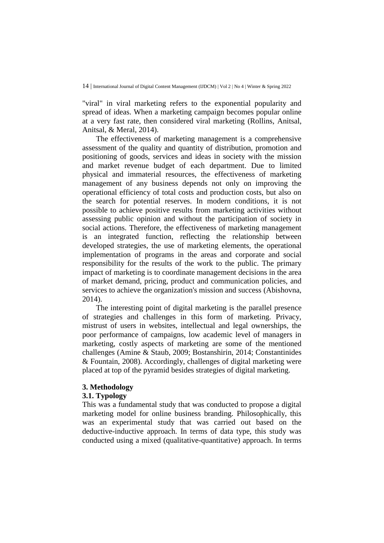"viral" in viral marketing refers to the exponential popularity and spread of ideas. When a marketing campaign becomes popular online at a very fast rate, then considered viral marketing (Rollins, Anitsal, Anitsal, & Meral, 2014).

The effectiveness of marketing management is a comprehensive assessment of the quality and quantity of distribution, promotion and positioning of goods, services and ideas in society with the mission and market revenue budget of each department. Due to limited physical and immaterial resources, the effectiveness of marketing management of any business depends not only on improving the operational efficiency of total costs and production costs, but also on the search for potential reserves. In modern conditions, it is not possible to achieve positive results from marketing activities without assessing public opinion and without the participation of society in social actions. Therefore, the effectiveness of marketing management is an integrated function, reflecting the relationship between developed strategies, the use of marketing elements, the operational implementation of programs in the areas and corporate and social responsibility for the results of the work to the public. The primary impact of marketing is to coordinate management decisions in the area of market demand, pricing, product and communication policies, and services to achieve the organization's mission and success (Abishovna, 2014).

The interesting point of digital marketing is the parallel presence of strategies and challenges in this form of marketing. Privacy, mistrust of users in websites, intellectual and legal ownerships, the poor performance of campaigns, low academic level of managers in marketing, costly aspects of marketing are some of the mentioned challenges (Amine & Staub, 2009; Bostanshirin, 2014; Constantinides & Fountain, 2008). Accordingly, challenges of digital marketing were placed at top of the pyramid besides strategies of digital marketing.

## **3. Methodology**

#### **3.1. Typology**

This was a fundamental study that was conducted to propose a digital marketing model for online business branding. Philosophically, this was an experimental study that was carried out based on the deductive-inductive approach. In terms of data type, this study was conducted using a mixed (qualitative-quantitative) approach. In terms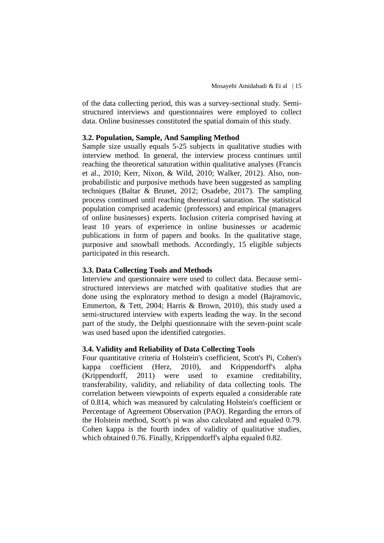of the data collecting period, this was a survey-sectional study. Semistructured interviews and questionnaires were employed to collect data. Online businesses constituted the spatial domain of this study.

## **3.2. Population, Sample, And Sampling Method**

Sample size usually equals 5-25 subjects in qualitative studies with interview method. In general, the interview process continues until reaching the theoretical saturation within qualitative analyses (Francis et al., 2010; Kerr, Nixon, & Wild, 2010; Walker, 2012). Also, nonprobabilistic and purposive methods have been suggested as sampling techniques (Baltar & Brunet, 2012; Osadebe, 2017). The sampling process continued until reaching theoretical saturation. The statistical population comprised academic (professors) and empirical (managers of online businesses) experts. Inclusion criteria comprised having at least 10 years of experience in online businesses or academic publications in form of papers and books. In the qualitative stage, purposive and snowball methods. Accordingly, 15 eligible subjects participated in this research.

## **3.3. Data Collecting Tools and Methods**

Interview and questionnaire were used to collect data. Because semistructured interviews are matched with qualitative studies that are done using the exploratory method to design a model (Bajramovic, Emmerton, & Tett, 2004; Harris & Brown, 2010), this study used a semi-structured interview with experts leading the way. In the second part of the study, the Delphi questionnaire with the seven-point scale was used based upon the identified categories.

## **3.4. Validity and Reliability of Data Collecting Tools**

Four quantitative criteria of Holstein's coefficient, Scott's Pi, Cohen's kappa coefficient (Herz, 2010), and Krippendorff's alpha (Krippendorff, 2011) were used to examine creditability, transferability, validity, and reliability of data collecting tools. The correlation between viewpoints of experts equaled a considerable rate of 0.814, which was measured by calculating Holstein's coefficient or Percentage of Agreement Observation (PAO). Regarding the errors of the Holstein method, Scott's pi was also calculated and equaled 0.79. Cohen kappa is the fourth index of validity of qualitative studies, which obtained 0.76. Finally, Krippendorff's alpha equaled 0.82.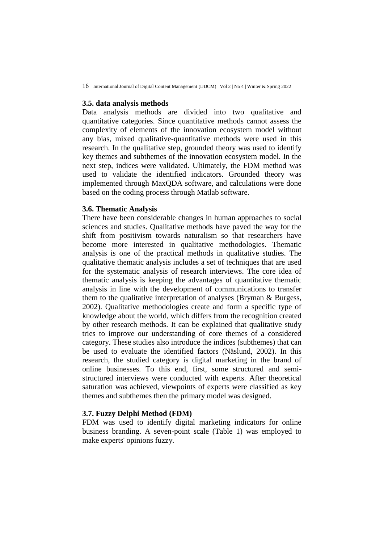### **3.5. data analysis methods**

Data analysis methods are divided into two qualitative and quantitative categories. Since quantitative methods cannot assess the complexity of elements of the innovation ecosystem model without any bias, mixed qualitative-quantitative methods were used in this research. In the qualitative step, grounded theory was used to identify key themes and subthemes of the innovation ecosystem model. In the next step, indices were validated. Ultimately, the FDM method was used to validate the identified indicators. Grounded theory was implemented through MaxQDA software, and calculations were done based on the coding process through Matlab software.

## **3.6. Thematic Analysis**

There have been considerable changes in human approaches to social sciences and studies. Qualitative methods have paved the way for the shift from positivism towards naturalism so that researchers have become more interested in qualitative methodologies. Thematic analysis is one of the practical methods in qualitative studies. The qualitative thematic analysis includes a set of techniques that are used for the systematic analysis of research interviews. The core idea of thematic analysis is keeping the advantages of quantitative thematic analysis in line with the development of communications to transfer them to the qualitative interpretation of analyses (Bryman & Burgess, 2002). Qualitative methodologies create and form a specific type of knowledge about the world, which differs from the recognition created by other research methods. It can be explained that qualitative study tries to improve our understanding of core themes of a considered category. These studies also introduce the indices (subthemes) that can be used to evaluate the identified factors (Näslund, 2002). In this research, the studied category is digital marketing in the brand of online businesses. To this end, first, some structured and semistructured interviews were conducted with experts. After theoretical saturation was achieved, viewpoints of experts were classified as key themes and subthemes then the primary model was designed.

## **3.7. Fuzzy Delphi Method (FDM)**

FDM was used to identify digital marketing indicators for online business branding. A seven-point scale (Table 1) was employed to make experts' opinions fuzzy.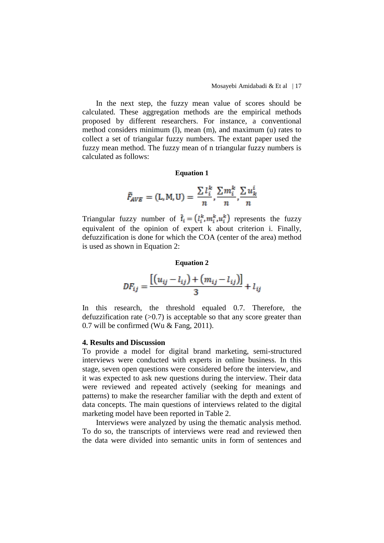In the next step, the fuzzy mean value of scores should be calculated. These aggregation methods are the empirical methods proposed by different researchers. For instance, a conventional method considers minimum (l), mean (m), and maximum (u) rates to collect a set of triangular fuzzy numbers. The extant paper used the fuzzy mean method. The fuzzy mean of n triangular fuzzy numbers is calculated as follows:

#### **Equation 1**

$$
\tilde{F}_{AVE} = (\mathbf{L}, \mathbf{M}, \mathbf{U}) = \frac{\sum l_i^k}{n}, \frac{\sum m_i^k}{n}, \frac{\sum u_k^i}{n}
$$

Triangular fuzzy number of  $\tilde{f}_i = (l_i^k, m_i^k, u_i^k)$  represents the fuzzy equivalent of the opinion of expert k about criterion i. Finally, defuzzification is done for which the COA (center of the area) method is used as shown in Equation 2:

#### **Equation 2**

$$
DF_{ij} = \frac{[(u_{ij} - l_{ij}) + (m_{ij} - l_{ij})]}{3} + l_{ij}
$$

In this research, the threshold equaled 0.7. Therefore, the defuzzification rate  $(>0.7)$  is acceptable so that any score greater than 0.7 will be confirmed (Wu & Fang, 2011).

#### **4. Results and Discussion**

To provide a model for digital brand marketing, semi-structured interviews were conducted with experts in online business. In this stage, seven open questions were considered before the interview, and it was expected to ask new questions during the interview. Their data were reviewed and repeated actively (seeking for meanings and patterns) to make the researcher familiar with the depth and extent of data concepts. The main questions of interviews related to the digital marketing model have been reported in Table 2.

Interviews were analyzed by using the thematic analysis method. To do so, the transcripts of interviews were read and reviewed then the data were divided into semantic units in form of sentences and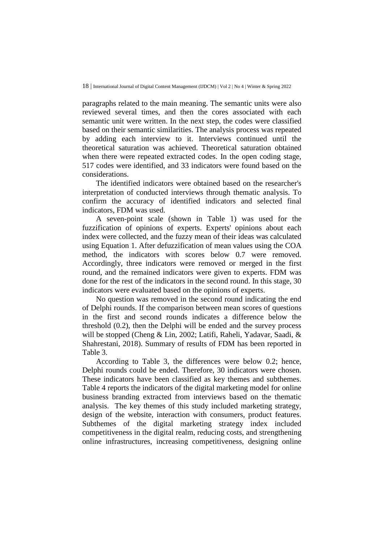paragraphs related to the main meaning. The semantic units were also reviewed several times, and then the cores associated with each semantic unit were written. In the next step, the codes were classified based on their semantic similarities. The analysis process was repeated by adding each interview to it. Interviews continued until the theoretical saturation was achieved. Theoretical saturation obtained when there were repeated extracted codes. In the open coding stage, 517 codes were identified, and 33 indicators were found based on the considerations.

The identified indicators were obtained based on the researcher's interpretation of conducted interviews through thematic analysis. To confirm the accuracy of identified indicators and selected final indicators, FDM was used.

A seven-point scale (shown in Table 1) was used for the fuzzification of opinions of experts. Experts' opinions about each index were collected, and the fuzzy mean of their ideas was calculated using Equation 1. After defuzzification of mean values using the COA method, the indicators with scores below 0.7 were removed. Accordingly, three indicators were removed or merged in the first round, and the remained indicators were given to experts. FDM was done for the rest of the indicators in the second round. In this stage, 30 indicators were evaluated based on the opinions of experts.

No question was removed in the second round indicating the end of Delphi rounds. If the comparison between mean scores of questions in the first and second rounds indicates a difference below the threshold (0.2), then the Delphi will be ended and the survey process will be stopped (Cheng & Lin, 2002; Latifi, Raheli, Yadavar, Saadi, & Shahrestani, 2018). Summary of results of FDM has been reported in Table 3.

According to Table 3, the differences were below 0.2; hence, Delphi rounds could be ended. Therefore, 30 indicators were chosen. These indicators have been classified as key themes and subthemes. Table 4 reports the indicators of the digital marketing model for online business branding extracted from interviews based on the thematic analysis. The key themes of this study included marketing strategy, design of the website, interaction with consumers, product features. Subthemes of the digital marketing strategy index included competitiveness in the digital realm, reducing costs, and strengthening online infrastructures, increasing competitiveness, designing online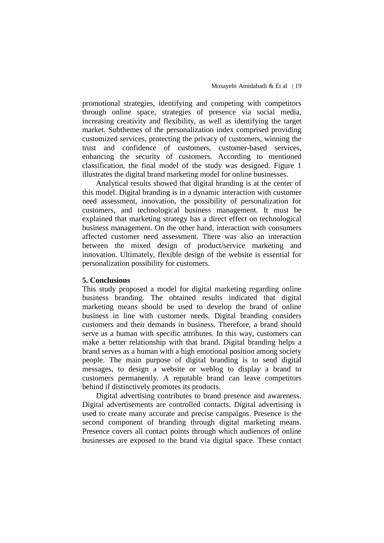promotional strategies, identifying and competing with competitors through online space, strategies of presence via social media, increasing creativity and flexibility, as well as identifying the target market. Subthemes of the personalization index comprised providing customized services, protecting the privacy of customers, winning the trust and confidence of customers, customer-based services, enhancing the security of customers. According to mentioned classification, the final model of the study was designed. Figure 1 illustrates the digital brand marketing model for online businesses.

Analytical results showed that digital branding is at the center of this model. Digital branding is in a dynamic interaction with customer need assessment, innovation, the possibility of personalization for customers, and technological business management. It must be explained that marketing strategy has a direct effect on technological business management. On the other hand, interaction with consumers affected customer need assessment. There was also an interaction between the mixed design of product/service marketing and innovation. Ultimately, flexible design of the website is essential for personalization possibility for customers.

#### **5. Conclusions**

This study proposed a model for digital marketing regarding online business branding. The obtained results indicated that digital marketing means should be used to develop the brand of online business in line with customer needs. Digital branding considers customers and their demands in business. Therefore, a brand should serve as a human with specific attributes. In this way, customers can make a better relationship with that brand. Digital branding helps a brand serves as a human with a high emotional position among society people. The main purpose of digital branding is to send digital messages, to design a website or weblog to display a brand to customers permanently. A reputable brand can leave competitors behind if distinctively promotes its products.

Digital advertising contributes to brand presence and awareness. Digital advertisements are controlled contacts. Digital advertising is used to create many accurate and precise campaigns. Presence is the second component of branding through digital marketing means. Presence covers all contact points through which audiences of online businesses are exposed to the brand via digital space. These contact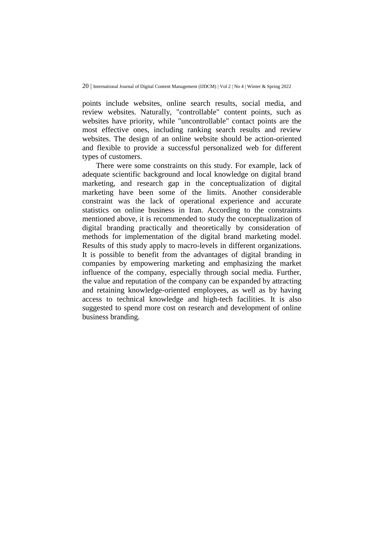points include websites, online search results, social media, and review websites. Naturally, "controllable" content points, such as websites have priority, while "uncontrollable" contact points are the most effective ones, including ranking search results and review websites. The design of an online website should be action-oriented and flexible to provide a successful personalized web for different types of customers.

There were some constraints on this study. For example, lack of adequate scientific background and local knowledge on digital brand marketing, and research gap in the conceptualization of digital marketing have been some of the limits. Another considerable constraint was the lack of operational experience and accurate statistics on online business in Iran. According to the constraints mentioned above, it is recommended to study the conceptualization of digital branding practically and theoretically by consideration of methods for implementation of the digital brand marketing model. Results of this study apply to macro-levels in different organizations. It is possible to benefit from the advantages of digital branding in companies by empowering marketing and emphasizing the market influence of the company, especially through social media. Further, the value and reputation of the company can be expanded by attracting and retaining knowledge-oriented employees, as well as by having access to technical knowledge and high-tech facilities. It is also suggested to spend more cost on research and development of online business branding.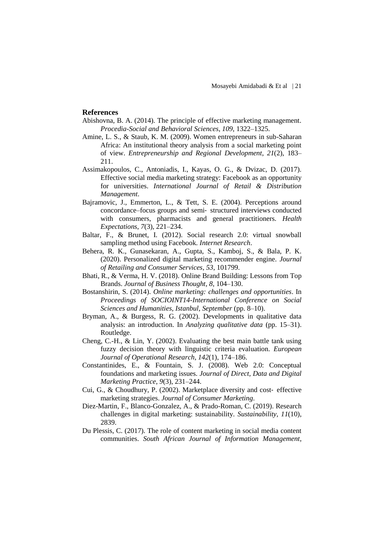#### **References**

- Abishovna, B. A. (2014). The principle of effective marketing management. *Procedia-Social and Behavioral Sciences*, *109*, 1322–1325.
- Amine, L. S., & Staub, K. M. (2009). Women entrepreneurs in sub-Saharan Africa: An institutional theory analysis from a social marketing point of view. *Entrepreneurship and Regional Development*, *21*(2), 183– 211.
- Assimakopoulos, C., Antoniadis, I., Kayas, O. G., & Dvizac, D. (2017). Effective social media marketing strategy: Facebook as an opportunity for universities. *International Journal of Retail & Distribution Management*.
- Bajramovic, J., Emmerton, L., & Tett, S. E. (2004). Perceptions around concordance–focus groups and semi‐ structured interviews conducted with consumers, pharmacists and general practitioners. *Health Expectations*, *7*(3), 221–234.
- Baltar, F., & Brunet, I. (2012). Social research 2.0: virtual snowball sampling method using Facebook. *Internet Research*.
- Behera, R. K., Gunasekaran, A., Gupta, S., Kamboj, S., & Bala, P. K. (2020). Personalized digital marketing recommender engine. *Journal of Retailing and Consumer Services*, *53*, 101799.
- Bhati, R., & Verma, H. V. (2018). Online Brand Building: Lessons from Top Brands. *Journal of Business Thought*, *8*, 104–130.
- Bostanshirin, S. (2014). *Online marketing: challenges and opportunities*. In *Proceedings of SOCIOINT14-International Conference on Social Sciences and Humanities, Istanbul, September* (pp. 8–10).
- Bryman, A., & Burgess, R. G. (2002). Developments in qualitative data analysis: an introduction. In *Analyzing qualitative data* (pp. 15–31). Routledge.
- Cheng, C.-H., & Lin, Y. (2002). Evaluating the best main battle tank using fuzzy decision theory with linguistic criteria evaluation. *European Journal of Operational Research*, *142*(1), 174–186.
- Constantinides, E., & Fountain, S. J. (2008). Web 2.0: Conceptual foundations and marketing issues. *Journal of Direct, Data and Digital Marketing Practice*, *9*(3), 231–244.
- Cui, G., & Choudhury, P. (2002). Marketplace diversity and cost‐ effective marketing strategies. *Journal of Consumer Marketing*.
- Diez-Martin, F., Blanco-Gonzalez, A., & Prado-Roman, C. (2019). Research challenges in digital marketing: sustainability. *Sustainability*, *11*(10), 2839.
- Du Plessis, C. (2017). The role of content marketing in social media content communities. *South African Journal of Information Management*,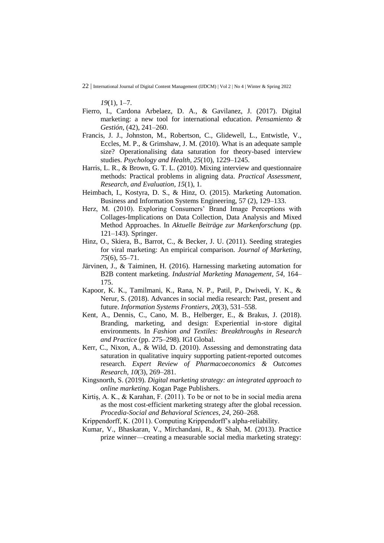*19*(1), 1–7.

- Fierro, I., Cardona Arbelaez, D. A., & Gavilanez, J. (2017). Digital marketing: a new tool for international education. *Pensamiento & Gestión*, (42), 241–260.
- Francis, J. J., Johnston, M., Robertson, C., Glidewell, L., Entwistle, V., Eccles, M. P., & Grimshaw, J. M. (2010). What is an adequate sample size? Operationalising data saturation for theory-based interview studies. *Psychology and Health*, *25*(10), 1229–1245.
- Harris, L. R., & Brown, G. T. L. (2010). Mixing interview and questionnaire methods: Practical problems in aligning data. *Practical Assessment, Research, and Evaluation*, *15*(1), 1.
- Heimbach, I., Kostyra, D. S., & Hinz, O. (2015). Marketing Automation. Business and Information Systems Engineering, 57 (2), 129–133.
- Herz, M. (2010). Exploring Consumers' Brand Image Perceptions with Collages-Implications on Data Collection, Data Analysis and Mixed Method Approaches. In *Aktuelle Beiträge zur Markenforschung* (pp. 121–143). Springer.
- Hinz, O., Skiera, B., Barrot, C., & Becker, J. U. (2011). Seeding strategies for viral marketing: An empirical comparison. *Journal of Marketing*, *75*(6), 55–71.
- Järvinen, J., & Taiminen, H. (2016). Harnessing marketing automation for B2B content marketing. *Industrial Marketing Management*, *54*, 164– 175.
- Kapoor, K. K., Tamilmani, K., Rana, N. P., Patil, P., Dwivedi, Y. K., & Nerur, S. (2018). Advances in social media research: Past, present and future. *Information Systems Frontiers*, *20*(3), 531–558.
- Kent, A., Dennis, C., Cano, M. B., Helberger, E., & Brakus, J. (2018). Branding, marketing, and design: Experiential in-store digital environments. In *Fashion and Textiles: Breakthroughs in Research and Practice* (pp. 275–298). IGI Global.
- Kerr, C., Nixon, A., & Wild, D. (2010). Assessing and demonstrating data saturation in qualitative inquiry supporting patient-reported outcomes research. *Expert Review of Pharmacoeconomics & Outcomes Research*, *10*(3), 269–281.
- Kingsnorth, S. (2019). *Digital marketing strategy: an integrated approach to online marketing*. Kogan Page Publishers.
- Kirtiş, A. K., & Karahan, F. (2011). To be or not to be in social media arena as the most cost-efficient marketing strategy after the global recession. *Procedia-Social and Behavioral Sciences*, *24*, 260–268.
- Krippendorff, K. (2011). Computing Krippendorff's alpha-reliability.
- Kumar, V., Bhaskaran, V., Mirchandani, R., & Shah, M. (2013). Practice prize winner—creating a measurable social media marketing strategy: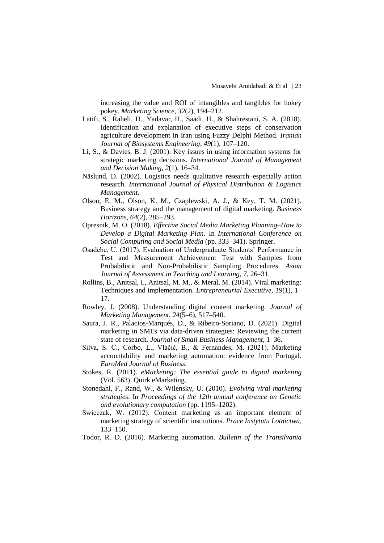increasing the value and ROI of intangibles and tangibles for hokey pokey. *Marketing Science*, *32*(2), 194–212.

- Latifi, S., Raheli, H., Yadavar, H., Saadi, H., & Shahrestani, S. A. (2018). Identification and explanation of executive steps of conservation agriculture development in Iran using Fuzzy Delphi Method. *Iranian Journal of Biosystems Engineering*, *49*(1), 107–120.
- Li, S., & Davies, B. J. (2001). Key issues in using information systems for strategic marketing decisions. *International Journal of Management and Decision Making*, *2*(1), 16–34.
- Näslund, D. (2002). Logistics needs qualitative research–especially action research. *International Journal of Physical Distribution & Logistics Management*.
- Olson, E. M., Olson, K. M., Czaplewski, A. J., & Key, T. M. (2021). Business strategy and the management of digital marketing. *Business Horizons*, *64*(2), 285–293.
- Opresnik, M. O. (2018). *Effective Social Media Marketing Planning–How to Develop a Digital Marketing Plan*. In *International Conference on Social Computing and Social Media* (pp. 333–341). Springer.
- Osadebe, U. (2017). Evaluation of Undergraduate Students' Performance in Test and Measurement Achievement Test with Samples from Probabilistic and Non-Probabilistic Sampling Procedures. *Asian Journal of Assessment in Teaching and Learning*, *7*, 26–31.
- Rollins, B., Anitsal, I., Anitsal, M. M., & Meral, M. (2014). Viral marketing: Techniques and implementation. *Entrepreneurial Executive*, *19*(1), 1– 17.
- Rowley, J. (2008). Understanding digital content marketing. *Journal of Marketing Management*, *24*(5–6), 517–540.
- Saura, J. R., Palacios-Marqués, D., & Ribeiro-Soriano, D. (2021). Digital marketing in SMEs via data-driven strategies: Reviewing the current state of research. *Journal of Small Business Management*, 1–36.
- Silva, S. C., Corbo, L., Vlačić, B., & Fernandes, M. (2021). Marketing accountability and marketing automation: evidence from Portugal. *EuroMed Journal of Business*.
- Stokes, R. (2011). *eMarketing: The essential guide to digital marketing* (Vol. 563). Quirk eMarketing.
- Stonedahl, F., Rand, W., & Wilensky, U. (2010). *Evolving viral marketing strategies*. In *Proceedings of the 12th annual conference on Genetic and evolutionary computation* (pp. 1195–1202).
- Świeczak, W. (2012). Content marketing as an important element of marketing strategy of scientific institutions. *Prace Instytutu Lotnictwa*, 133–150.
- Todor, R. D. (2016). Marketing automation. *Bulletin of the Transilvania*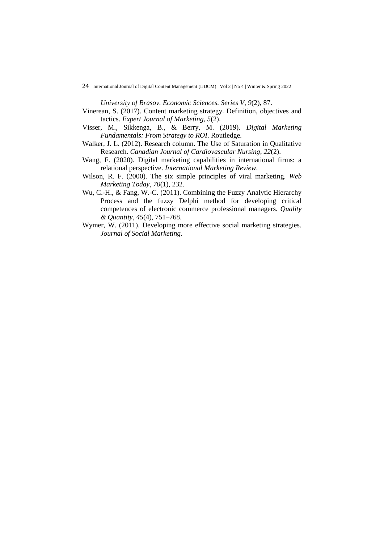*University of Brasov. Economic Sciences. Series V*, *9*(2), 87.

- Vinerean, S. (2017). Content marketing strategy. Definition, objectives and tactics. *Expert Journal of Marketing*, *5*(2).
- Visser, M., Sikkenga, B., & Berry, M. (2019). *Digital Marketing Fundamentals: From Strategy to ROI*. Routledge.
- Walker, J. L. (2012). Research column. The Use of Saturation in Qualitative Research. *Canadian Journal of Cardiovascular Nursing*, *22*(2).
- Wang, F. (2020). Digital marketing capabilities in international firms: a relational perspective. *International Marketing Review*.
- Wilson, R. F. (2000). The six simple principles of viral marketing. *Web Marketing Today*, *70*(1), 232.
- Wu, C.-H., & Fang, W.-C. (2011). Combining the Fuzzy Analytic Hierarchy Process and the fuzzy Delphi method for developing critical competences of electronic commerce professional managers. *Quality & Quantity*, *45*(4), 751–768.
- Wymer, W. (2011). Developing more effective social marketing strategies. *Journal of Social Marketing*.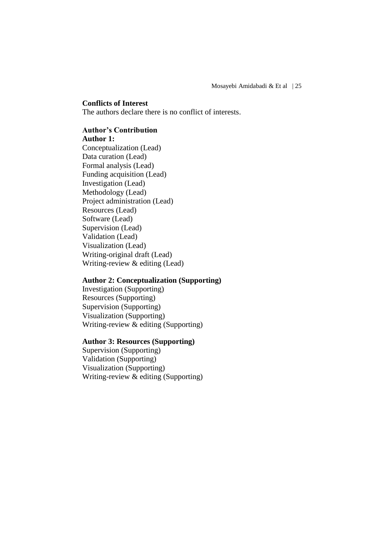## **Conflicts of Interest**

The authors declare there is no conflict of interests.

## **Author's Contribution**

## **Author 1:**

Conceptualization (Lead) Data curation (Lead) Formal analysis (Lead) Funding acquisition (Lead) Investigation (Lead) Methodology (Lead) Project administration (Lead) Resources (Lead) Software (Lead) Supervision (Lead) Validation (Lead) Visualization (Lead) Writing-original draft (Lead) Writing-review & editing (Lead)

## **Author 2: Conceptualization (Supporting)**

Investigation (Supporting) Resources (Supporting) Supervision (Supporting) Visualization (Supporting) Writing-review & editing (Supporting)

## **Author 3: Resources (Supporting)**

Supervision (Supporting) Validation (Supporting) Visualization (Supporting) Writing-review & editing (Supporting)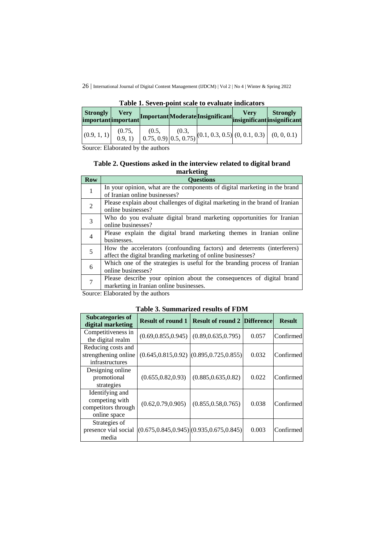| <b>Strongly</b><br>important important | <b>Verv</b>        |  | Important Moderate Insignificant insignificant insignificant                                                                                                                                                                                      |  |
|----------------------------------------|--------------------|--|---------------------------------------------------------------------------------------------------------------------------------------------------------------------------------------------------------------------------------------------------|--|
| (0.9, 1, 1)                            | (0.75,<br>(0.9, 1) |  | $\begin{bmatrix} (0.5, \\ 0.75, 0.9) \end{bmatrix}$ $\begin{bmatrix} (0.3, \\ 0.5, 0.75) \end{bmatrix}$ $\begin{bmatrix} (0.1, 0.3, 0.5) \end{bmatrix}$ $\begin{bmatrix} (0, 0.1, 0.3) \end{bmatrix}$ $\begin{bmatrix} (0, 0, 0.1) \end{bmatrix}$ |  |

**Table 1. Seven-point scale to evaluate indicators**

Source: Elaborated by the authors

## **Table 2. Questions asked in the interview related to digital brand marketing**

| <b>Row</b>     | <b>Ouestions</b>                                                             |
|----------------|------------------------------------------------------------------------------|
| 1              | In your opinion, what are the components of digital marketing in the brand   |
|                | of Iranian online businesses?                                                |
| $\overline{2}$ | Please explain about challenges of digital marketing in the brand of Iranian |
|                | online businesses?                                                           |
| 3              | Who do you evaluate digital brand marketing opportunities for Iranian        |
|                | online businesses?                                                           |
| $\overline{4}$ | Please explain the digital brand marketing themes in Iranian online          |
|                | businesses.                                                                  |
| 5              | How the accelerators (confounding factors) and deterrents (interferers)      |
|                | affect the digital branding marketing of online businesses?                  |
| 6              | Which one of the strategies is useful for the branding process of Iranian    |
|                | online businesses?                                                           |
| 7              | Please describe your opinion about the consequences of digital brand         |
|                | marketing in Iranian online businesses.                                      |

Source: Elaborated by the authors

| <b>Table 3. Summarized results of FDM</b> |  |
|-------------------------------------------|--|
|-------------------------------------------|--|

| <b>Subcategories of</b><br>digital marketing                             | <b>Result of round 1</b> | <b>Result of round 2 Difference</b>             |       | <b>Result</b> |
|--------------------------------------------------------------------------|--------------------------|-------------------------------------------------|-------|---------------|
| Competitiveness in<br>the digital realm                                  | (0.69, 0.855, 0.945)     | (0.89, 0.635, 0.795)                            | 0.057 | Confirmed     |
| Reducing costs and<br>strengthening online<br>infrastructures            |                          | $(0.645, 0.815, 0.92)$ $(0.895, 0.725, 0.855)$  | 0.032 | Confirmed     |
| Designing online<br>promotional<br>strategies                            | (0.655, 0.82, 0.93)      | (0.885, 0.635, 0.82)                            | 0.022 | Confirmed     |
| Identifying and<br>competing with<br>competitors through<br>online space | (0.62, 0.79, 0.905)      | (0.855, 0.58, 0.765)                            | 0.038 | Confirmed     |
| Strategies of<br>presence vial social<br>media                           |                          | $(0.675, 0.845, 0.945)$ $(0.935, 0.675, 0.845)$ | 0.003 | Confirmed     |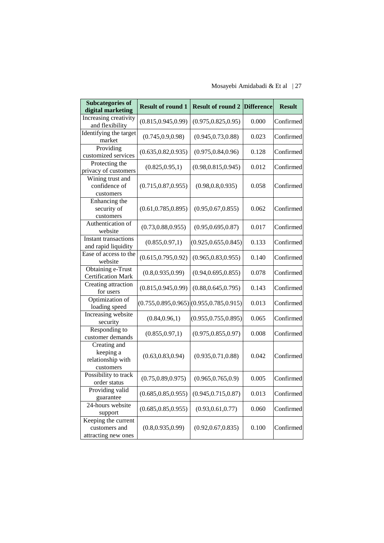## Mosayebi Amidabadi & Et al | 27

| <b>Subcategories of</b><br>digital marketing                | <b>Result of round 1</b> | <b>Result of round 2</b>                        | <b>Difference</b> | <b>Result</b> |
|-------------------------------------------------------------|--------------------------|-------------------------------------------------|-------------------|---------------|
| Increasing creativity<br>and flexibility                    | (0.815, 0.945, 0.99)     | (0.975, 0.825, 0.95)                            | 0.000             | Confirmed     |
| Identifying the target<br>market                            | (0.745, 0.9, 0.98)       | (0.945, 0.73, 0.88)                             | 0.023             | Confirmed     |
| Providing<br>customized services                            | (0.635, 0.82, 0.935)     | (0.975, 0.84, 0.96)                             | 0.128             | Confirmed     |
| Protecting the<br>privacy of customers                      | (0.825, 0.95, 1)         | (0.98, 0.815, 0.945)                            | 0.012             | Confirmed     |
| Wining trust and<br>confidence of<br>customers              | (0.715, 0.87, 0.955)     | (0.98, 0.8, 0.935)                              | 0.058             | Confirmed     |
| Enhancing the<br>security of<br>customers                   | (0.61, 0.785, 0.895)     | (0.95, 0.67, 0.855)                             | 0.062             | Confirmed     |
| Authentication of<br>website                                | (0.73, 0.88, 0.955)      | (0.95, 0.695, 0.87)                             | 0.017             | Confirmed     |
| <b>Instant transactions</b><br>and rapid liquidity          | (0.855, 0.97, 1)         | (0.925, 0.655, 0.845)                           | 0.133             | Confirmed     |
| Ease of access to the<br>website                            | (0.615, 0.795, 0.92)     | (0.965, 0.83, 0.955)                            | 0.140             | Confirmed     |
| Obtaining e-Trust<br><b>Certification Mark</b>              | (0.8, 0.935, 0.99)       | (0.94, 0.695, 0.855)                            | 0.078             | Confirmed     |
| Creating attraction<br>for users                            | (0.815, 0.945, 0.99)     | (0.88, 0.645, 0.795)                            | 0.143             | Confirmed     |
| Optimization of<br>loading speed                            |                          | $(0.755, 0.895, 0.965)$ $(0.955, 0.785, 0.915)$ | 0.013             | Confirmed     |
| Increasing website<br>security                              | (0.84, 0.96, 1)          | (0.955, 0.755, 0.895)                           | 0.065             | Confirmed     |
| Responding to<br>customer demands                           | (0.855, 0.97, 1)         | (0.975, 0.855, 0.97)                            | 0.008             | Confirmed     |
| Creating and<br>keeping a<br>relationship with<br>customers | (0.63, 0.83, 0.94)       | (0.935, 0.71, 0.88)                             | 0.042             | Confirmed     |
| Possibility to track<br>order status                        | (0.75, 0.89, 0.975)      | (0.965, 0.765, 0.9)                             | 0.005             | Confirmed     |
| Providing valid<br>guarantee                                | (0.685, 0.85, 0.955)     | (0.945, 0.715, 0.87)                            | 0.013             | Confirmed     |
| 24-hours website<br>support                                 | (0.685, 0.85, 0.955)     | (0.93, 0.61, 0.77)                              | 0.060             | Confirmed     |
| Keeping the current<br>customers and<br>attracting new ones | (0.8, 0.935, 0.99)       | (0.92, 0.67, 0.835)                             | 0.100             | Confirmed     |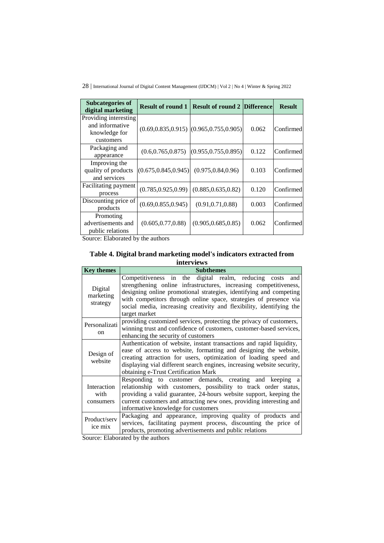28 | International Journal of Digital Content Management (IJDCM) | Vol 2 | No 4 | Winter & Spring 2022

| <b>Subcategories of</b><br>digital marketing                           | <b>Result of round 1</b> | <b>Result of round 2 Difference</b>            |       | <b>Result</b> |
|------------------------------------------------------------------------|--------------------------|------------------------------------------------|-------|---------------|
| Providing interesting<br>and informative<br>knowledge for<br>customers |                          | $(0.69, 0.835, 0.915)$ $(0.965, 0.755, 0.905)$ | 0.062 | Confirmed     |
| Packaging and<br>appearance                                            | (0.6, 0.765, 0.875)      | (0.955, 0.755, 0.895)                          | 0.122 | Confirmed     |
| Improving the<br>quality of products<br>and services                   | (0.675, 0.845, 0.945)    | (0.975, 0.84, 0.96)                            | 0.103 | Confirmed     |
| Facilitating payment<br>process                                        | (0.785, 0.925, 0.99)     | (0.885, 0.635, 0.82)                           | 0.120 | Confirmed     |
| Discounting price of<br>products                                       | (0.69, 0.855, 0.945)     | (0.91, 0.71, 0.88)                             | 0.003 | Confirmed     |
| Promoting<br>advertisements and<br>public relations                    | (0.605, 0.77, 0.88)      | (0.905, 0.685, 0.85)                           | 0.062 | Confirmed     |

Source: Elaborated by the authors

**Table 4. Digital brand marketing model's indicators extracted from interviews**

| <b>Key themes</b>                                                                                                                                                                                                                                                                                                                                  | <b>Subthemes</b>                                                                                                                                                                                                                                                                                                                                                     |  |  |  |
|----------------------------------------------------------------------------------------------------------------------------------------------------------------------------------------------------------------------------------------------------------------------------------------------------------------------------------------------------|----------------------------------------------------------------------------------------------------------------------------------------------------------------------------------------------------------------------------------------------------------------------------------------------------------------------------------------------------------------------|--|--|--|
| Digital<br>marketing<br>strategy                                                                                                                                                                                                                                                                                                                   | Competitiveness in the digital realm, reducing costs<br>and<br>strengthening online infrastructures, increasing competitiveness,<br>designing online promotional strategies, identifying and competing<br>with competitors through online space, strategies of presence via<br>social media, increasing creativity and flexibility, identifying the<br>target market |  |  |  |
| Personalizati<br><sub>on</sub>                                                                                                                                                                                                                                                                                                                     | providing customized services, protecting the privacy of customers,<br>winning trust and confidence of customers, customer-based services,<br>enhancing the security of customers                                                                                                                                                                                    |  |  |  |
| Design of<br>website                                                                                                                                                                                                                                                                                                                               | Authentication of website, instant transactions and rapid liquidity,<br>ease of access to website, formatting and designing the website,<br>creating attraction for users, optimization of loading speed and<br>displaying vial different search engines, increasing website security,<br>obtaining e-Trust Certification Mark                                       |  |  |  |
| Responding to customer demands, creating and keeping a<br>relationship with customers, possibility to track order status,<br>Interaction<br>providing a valid guarantee, 24-hours website support, keeping the<br>with<br>current customers and attracting new ones, providing interesting and<br>consumers<br>informative knowledge for customers |                                                                                                                                                                                                                                                                                                                                                                      |  |  |  |
| Product/serv<br>ice mix                                                                                                                                                                                                                                                                                                                            | Packaging and appearance, improving quality of products and<br>services, facilitating payment process, discounting the price of<br>products, promoting advertisements and public relations                                                                                                                                                                           |  |  |  |

Source: Elaborated by the authors